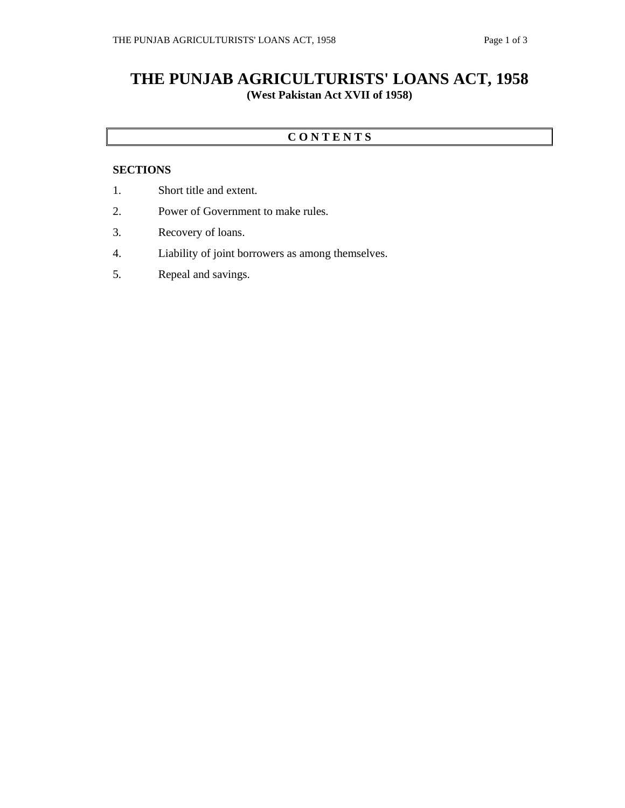# **THE PUNJAB AGRICULTURISTS' LOANS ACT, 1958 (West Pakistan Act XVII of 1958)**

### **C O N T E N T S**

#### **SECTIONS**

- 1. Short title and extent.
- 2. Power of Government to make rules.
- 3. Recovery of loans.
- 4. Liability of joint borrowers as among themselves.
- 5. Repeal and savings.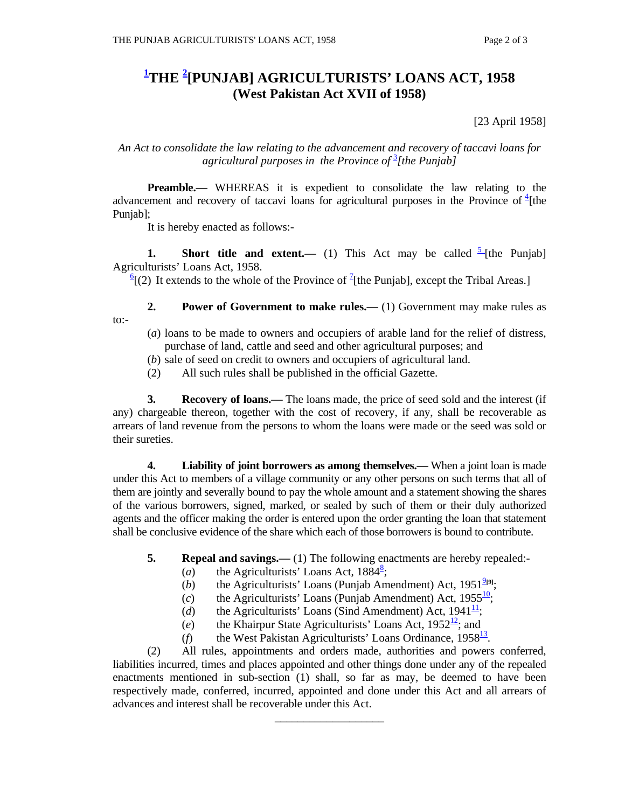## **1 THE <sup>2</sup> [PUNJAB] AGRICULTURISTS' LOANS ACT, 1958 (West Pakistan Act XVII of 1958)**

[23 April 1958]

#### *An Act to consolidate the law relating to the advancement and recovery of taccavi loans for agricultural purposes in the Province of* <sup>3</sup> *[the Punjab]*

**Preamble.—** WHEREAS it is expedient to consolidate the law relating to the advancement and recovery of taccavi loans for agricultural purposes in the Province of  $\frac{4}{1}$ [the Punjab];

It is hereby enacted as follows:-

**1.** Short title and extent.— (1) This Act may be called  $\frac{5}{7}$  [the Punjab] Agriculturists' Loans Act, 1958.

 $\frac{6}{2}$  (2) It extends to the whole of the Province of <sup>2</sup>[the Punjab], except the Tribal Areas.]

**2. Power of Government to make rules.**—(1) Government may make rules as to:-

- (*a*) loans to be made to owners and occupiers of arable land for the relief of distress, purchase of land, cattle and seed and other agricultural purposes; and
- (*b*) sale of seed on credit to owners and occupiers of agricultural land.
- (2) All such rules shall be published in the official Gazette.

**3.** Recovery of loans.— The loans made, the price of seed sold and the interest (if any) chargeable thereon, together with the cost of recovery, if any, shall be recoverable as arrears of land revenue from the persons to whom the loans were made or the seed was sold or their sureties.

 **4. Liability of joint borrowers as among themselves.—** When a joint loan is made under this Act to members of a village community or any other persons on such terms that all of them are jointly and severally bound to pay the whole amount and a statement showing the shares of the various borrowers, signed, marked, or sealed by such of them or their duly authorized agents and the officer making the order is entered upon the order granting the loan that statement shall be conclusive evidence of the share which each of those borrowers is bound to contribute.

- **5.** Repeal and savings.—(1) The following enactments are hereby repealed:-
- (*a*) the Agriculturists' Loans Act,  $1884^8$ ;
	- (*b*) the Agriculturists' Loans (Punjab Amendment) Act,  $1951^{2[9]}$ ;
	- (*c*) the Agriculturists' Loans (Punjab Amendment) Act,  $1955\frac{10}{1}$ ;
	- (*d*) the Agriculturists' Loans (Sind Amendment) Act,  $1941^{\frac{11}{2}}$ ;
	- (*e*) the Khairpur State Agriculturists' Loans Act,  $1952^{\frac{12}{}}$ ; and
	- (*f*) the West Pakistan Agriculturists' Loans Ordinance,  $1958^{\frac{13}{2}}$ .

 (2) All rules, appointments and orders made, authorities and powers conferred, liabilities incurred, times and places appointed and other things done under any of the repealed enactments mentioned in sub-section (1) shall, so far as may, be deemed to have been respectively made, conferred, incurred, appointed and done under this Act and all arrears of advances and interest shall be recoverable under this Act.

\_\_\_\_\_\_\_\_\_\_\_\_\_\_\_\_\_\_\_